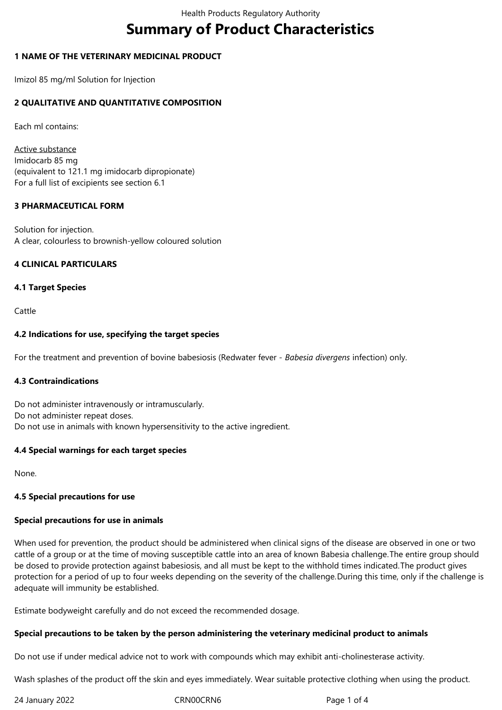# **Summary of Product Characteristics**

# **1 NAME OF THE VETERINARY MEDICINAL PRODUCT**

Imizol 85 mg/ml Solution for Injection

# **2 QUALITATIVE AND QUANTITATIVE COMPOSITION**

Each ml contains:

Active substance Imidocarb 85 mg (equivalent to 121.1 mg imidocarb dipropionate) For a full list of excipients see section 6.1

## **3 PHARMACEUTICAL FORM**

Solution for injection. A clear, colourless to brownish-yellow coloured solution

# **4 CLINICAL PARTICULARS**

## **4.1 Target Species**

Cattle

# **4.2 Indications for use, specifying the target species**

For the treatment and prevention of bovine babesiosis (Redwater fever - *Babesia divergens* infection) only.

## **4.3 Contraindications**

Do not administer intravenously or intramuscularly. Do not administer repeat doses. Do not use in animals with known hypersensitivity to the active ingredient.

## **4.4 Special warnings for each target species**

None.

## **4.5 Special precautions for use**

## **Special precautions for use in animals**

When used for prevention, the product should be administered when clinical signs of the disease are observed in one or two cattle of a group or at the time of moving susceptible cattle into an area of known Babesia challenge.The entire group should be dosed to provide protection against babesiosis, and all must be kept to the withhold times indicated.The product gives protection for a period of up to four weeks depending on the severity of the challenge.During this time, only if the challenge is adequate will immunity be established.

Estimate bodyweight carefully and do not exceed the recommended dosage.

## **Special precautions to be taken by the person administering the veterinary medicinal product to animals**

Do not use if under medical advice not to work with compounds which may exhibit anti-cholinesterase activity.

Wash splashes of the product off the skin and eyes immediately. Wear suitable protective clothing when using the product.

24 January 2022 CRN00CRN6 Page 1 of 4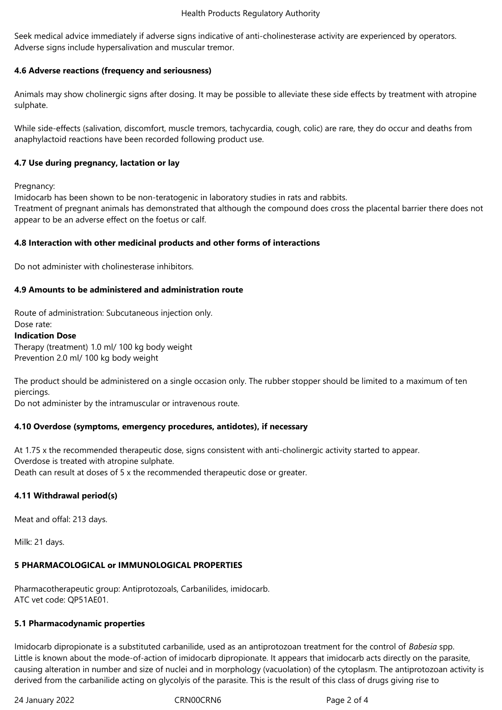Seek medical advice immediately if adverse signs indicative of anti-cholinesterase activity are experienced by operators. Adverse signs include hypersalivation and muscular tremor.

# **4.6 Adverse reactions (frequency and seriousness)**

Animals may show cholinergic signs after dosing. It may be possible to alleviate these side effects by treatment with atropine sulphate.

While side-effects (salivation, discomfort, muscle tremors, tachycardia, cough, colic) are rare, they do occur and deaths from anaphylactoid reactions have been recorded following product use.

# **4.7 Use during pregnancy, lactation or lay**

Pregnancy:

Imidocarb has been shown to be non-teratogenic in laboratory studies in rats and rabbits.

Treatment of pregnant animals has demonstrated that although the compound does cross the placental barrier there does not appear to be an adverse effect on the foetus or calf.

# **4.8 Interaction with other medicinal products and other forms of interactions**

Do not administer with cholinesterase inhibitors.

# **4.9 Amounts to be administered and administration route**

Route of administration: Subcutaneous injection only.

#### Dose rate: **Indication Dose**

Therapy (treatment) 1.0 ml/ 100 kg body weight Prevention 2.0 ml/ 100 kg body weight

The product should be administered on a single occasion only. The rubber stopper should be limited to a maximum of ten piercings.

Do not administer by the intramuscular or intravenous route.

# **4.10 Overdose (symptoms, emergency procedures, antidotes), if necessary**

At 1.75 x the recommended therapeutic dose, signs consistent with anti-cholinergic activity started to appear. Overdose is treated with atropine sulphate. Death can result at doses of 5 x the recommended therapeutic dose or greater.

# **4.11 Withdrawal period(s)**

Meat and offal: 213 days.

Milk: 21 days.

# **5 PHARMACOLOGICAL or IMMUNOLOGICAL PROPERTIES**

Pharmacotherapeutic group: Antiprotozoals, Carbanilides, imidocarb. ATC vet code: QP51AE01.

## **5.1 Pharmacodynamic properties**

Imidocarb dipropionate is a substituted carbanilide, used as an antiprotozoan treatment for the control of *Babesia* spp. Little is known about the mode-of-action of imidocarb dipropionate. It appears that imidocarb acts directly on the parasite, causing alteration in number and size of nuclei and in morphology (vacuolation) of the cytoplasm. The antiprotozoan activity is derived from the carbanilide acting on glycolyis of the parasite. This is the result of this class of drugs giving rise to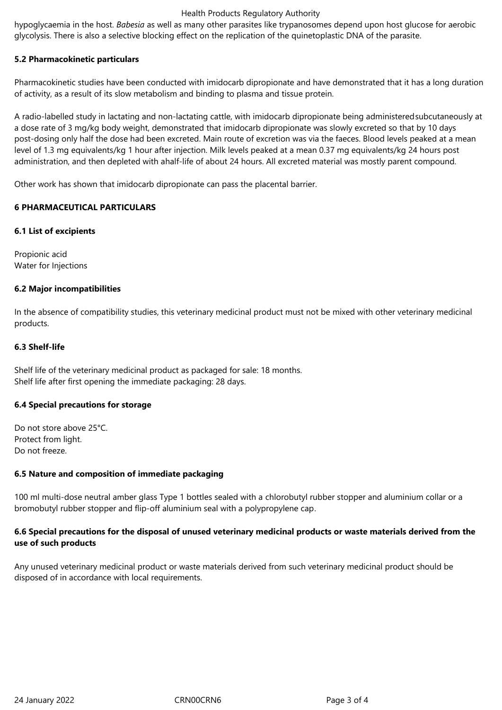## Health Products Regulatory Authority

hypoglycaemia in the host. *Babesia* as well as many other parasites like trypanosomes depend upon host glucose for aerobic glycolysis. There is also a selective blocking effect on the replication of the quinetoplastic DNA of the parasite.

# **5.2 Pharmacokinetic particulars**

Pharmacokinetic studies have been conducted with imidocarb dipropionate and have demonstrated that it has a long duration of activity, as a result of its slow metabolism and binding to plasma and tissue protein.

A radio-labelled study in lactating and non-lactating cattle, with imidocarb dipropionate being administeredsubcutaneously at a dose rate of 3 mg/kg body weight, demonstrated that imidocarb dipropionate was slowly excreted so that by 10 days post-dosing only half the dose had been excreted. Main route of excretion was via the faeces. Blood levels peaked at a mean level of 1.3 mg equivalents/kg 1 hour after injection. Milk levels peaked at a mean 0.37 mg equivalents/kg 24 hours post administration, and then depleted with ahalf-life of about 24 hours. All excreted material was mostly parent compound.

Other work has shown that imidocarb dipropionate can pass the placental barrier.

# **6 PHARMACEUTICAL PARTICULARS**

# **6.1 List of excipients**

Propionic acid Water for Injections

# **6.2 Major incompatibilities**

In the absence of compatibility studies, this veterinary medicinal product must not be mixed with other veterinary medicinal products.

# **6.3 Shelf-life**

Shelf life of the veterinary medicinal product as packaged for sale: 18 months. Shelf life after first opening the immediate packaging: 28 days.

## **6.4 Special precautions for storage**

Do not store above 25°C. Protect from light. Do not freeze.

## **6.5 Nature and composition of immediate packaging**

100 ml multi-dose neutral amber glass Type 1 bottles sealed with a chlorobutyl rubber stopper and aluminium collar or a bromobutyl rubber stopper and flip-off aluminium seal with a polypropylene cap.

# **6.6 Special precautions for the disposal of unused veterinary medicinal products or waste materials derived from the use of such products**

Any unused veterinary medicinal product or waste materials derived from such veterinary medicinal product should be disposed of in accordance with local requirements.